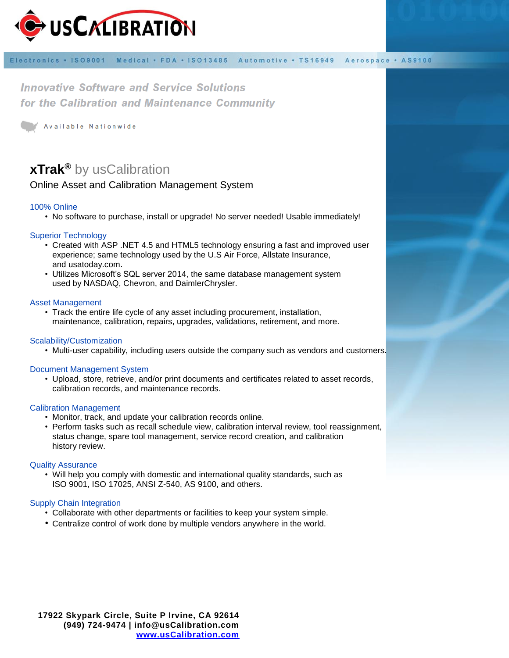

Electronics . ISO9001 Medical · FDA · ISO13485 Automotive · TS16949 Aerospace . AS9100

**Innovative Software and Service Solutions** for the Calibration and Maintenance Community

Available Nationwide

# **xTrak ®** by usCalibration

# Online Asset and Calibration Management System

## 100% Online

• No software to purchase, install or upgrade! No server needed! Usable immediately!

## Superior Technology

- Created with ASP .NET 4.5 and HTML5 technology ensuring a fast and improved user experience; same technology used by the U.S Air Force, Allstate Insurance, and usatoday.com.
- Utilizes Microsoft's SQL server 2014, the same database management system used by NASDAQ, Chevron, and DaimlerChrysler.

#### Asset Management

• Track the entire life cycle of any asset including procurement, installation, maintenance, calibration, repairs, upgrades, validations, retirement, and more.

#### Scalability/Customization

• Multi-user capability, including users outside the company such as vendors and customers.

#### Document Management System

• Upload, store, retrieve, and/or print documents and certificates related to asset records, calibration records, and maintenance records.

#### Calibration Management

- Monitor, track, and update your calibration records online.
- Perform tasks such as recall schedule view, calibration interval review, tool reassignment, status change, spare tool management, service record creation, and calibration history review.

#### Quality Assurance

• Will help you comply with domestic and international quality standards, such as ISO 9001, ISO 17025, ANSI Z-540, AS 9100, and others.

#### Supply Chain Integration

- Collaborate with other departments or facilities to keep your system simple.
- Centralize control of work done by multiple vendors anywhere in the world.